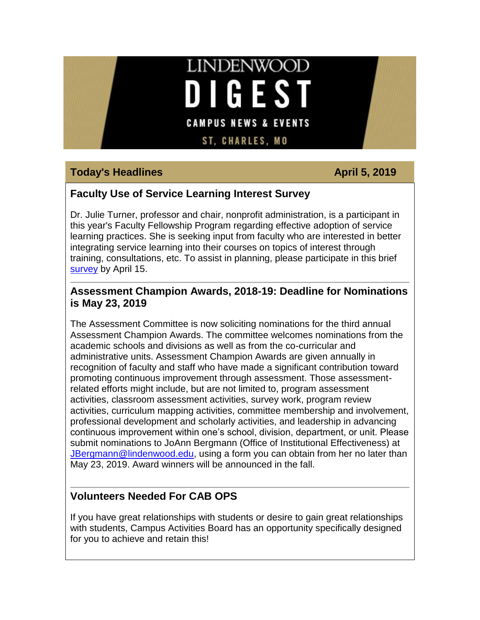# **LINDENWOOD DIGEST CAMPUS NEWS & EVENTS**

**ST. CHARLES. MO** 

#### **Today's Headlines April 5, 2019**

#### **Faculty Use of Service Learning Interest Survey**

Dr. Julie Turner, professor and chair, nonprofit administration, is a participant in this year's Faculty Fellowship Program regarding effective adoption of service learning practices. She is seeking input from faculty who are interested in better integrating service learning into their courses on topics of interest through training, consultations, etc. To assist in planning, please participate in this brief [survey](https://hes32-ctp.trendmicro.com/wis/clicktime/v1/query?url=https%3a%2f%2fcustapp.marketvolt.com%2flink%2ftBQ5BcBfqp%3fCM%3d1312467241%26X%3d70525052&umid=481d7594-6898-4f4d-8251-80279179d622&auth=bc7ac43e330fa629f0cfb11786c85e83c10d06b8-a8c1e31e9bb9da075c423fed85c920bf58e18fc4) by April 15.

#### **Assessment Champion Awards, 2018-19: Deadline for Nominations is May 23, 2019**

The Assessment Committee is now soliciting nominations for the third annual Assessment Champion Awards. The committee welcomes nominations from the academic schools and divisions as well as from the co-curricular and administrative units. Assessment Champion Awards are given annually in recognition of faculty and staff who have made a significant contribution toward promoting continuous improvement through assessment. Those assessmentrelated efforts might include, but are not limited to, program assessment activities, classroom assessment activities, survey work, program review activities, curriculum mapping activities, committee membership and involvement, professional development and scholarly activities, and leadership in advancing continuous improvement within one's school, division, department, or unit. Please submit nominations to JoAnn Bergmann (Office of Institutional Effectiveness) at [JBergmann@lindenwood.edu,](mailto:JBergmann@lindenwood.edu) using a form you can obtain from her no later than May 23, 2019. Award winners will be announced in the fall.

#### **Volunteers Needed For CAB OPS**

If you have great relationships with students or desire to gain great relationships with students, Campus Activities Board has an opportunity specifically designed for you to achieve and retain this!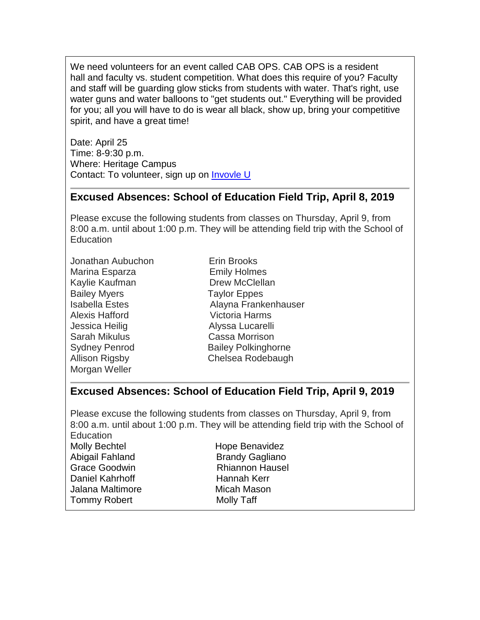We need volunteers for an event called CAB OPS. CAB OPS is a resident hall and faculty vs. student competition. What does this require of you? Faculty and staff will be guarding glow sticks from students with water. That's right, use water guns and water balloons to "get students out." Everything will be provided for you; all you will have to do is wear all black, show up, bring your competitive spirit, and have a great time!

Date: April 25 Time: 8-9:30 p.m. Where: Heritage Campus Contact: To volunteer, sign up on [Invovle](https://hes32-ctp.trendmicro.com/wis/clicktime/v1/query?url=https%3a%2f%2fcustapp.marketvolt.com%2flink%2fy3Me7zxsBe%3fCM%3d1312467241%26X%3d70525052&umid=481d7594-6898-4f4d-8251-80279179d622&auth=bc7ac43e330fa629f0cfb11786c85e83c10d06b8-5e77a8feaba5946e0430cac491ccefecd4f77659) U

#### **Excused Absences: School of Education Field Trip, April 8, 2019**

Please excuse the following students from classes on Thursday, April 9, from 8:00 a.m. until about 1:00 p.m. They will be attending field trip with the School of **Education** 

- Jonathan Aubuchon Erin Brooks Marina Esparza **Emily Holmes** Kaylie Kaufman Drew McClellan Bailey Myers **Taylor Eppes** Alexis Hafford Victoria Harms Jessica Heilig Alyssa Lucarelli Sarah Mikulus Cassa Morrison Morgan Weller
- Isabella Estes Alayna Frankenhauser Sydney Penrod Bailey Polkinghorne Allison Rigsby Chelsea Rodebaugh

#### **Excused Absences: School of Education Field Trip, April 9, 2019**

Please excuse the following students from classes on Thursday, April 9, from 8:00 a.m. until about 1:00 p.m. They will be attending field trip with the School of Education Molly Bechtel **Hope Benavidez** 

Abigail Fahland Brandy Gagliano Grace Goodwin **Rhiannon Hausel** Daniel Kahrhoff Hannah Kerr Jalana Maltimore **Micah Mason** Tommy Robert Molly Taff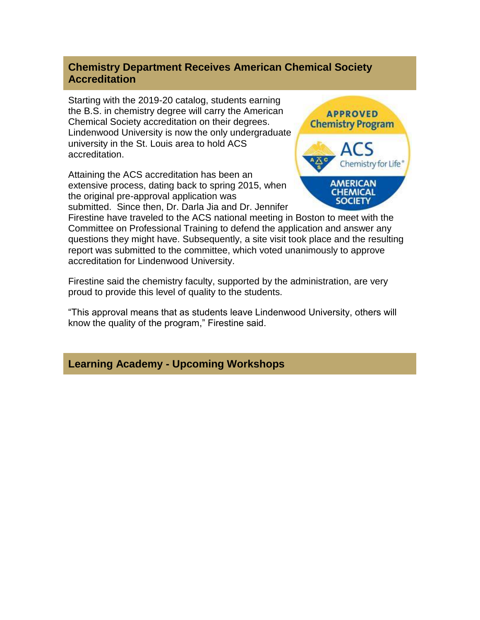#### **Chemistry Department Receives American Chemical Society Accreditation**

Starting with the 2019-20 catalog, students earning the B.S. in chemistry degree will carry the American Chemical Society accreditation on their degrees. Lindenwood University is now the only undergraduate university in the St. Louis area to hold ACS accreditation.

Attaining the ACS accreditation has been an extensive process, dating back to spring 2015, when the original pre-approval application was submitted. Since then, Dr. Darla Jia and Dr. Jennifer



Firestine have traveled to the ACS national meeting in Boston to meet with the Committee on Professional Training to defend the application and answer any questions they might have. Subsequently, a site visit took place and the resulting report was submitted to the committee, which voted unanimously to approve accreditation for Lindenwood University.

Firestine said the chemistry faculty, supported by the administration, are very proud to provide this level of quality to the students.

"This approval means that as students leave Lindenwood University, others will know the quality of the program," Firestine said.

#### **Learning Academy - Upcoming Workshops**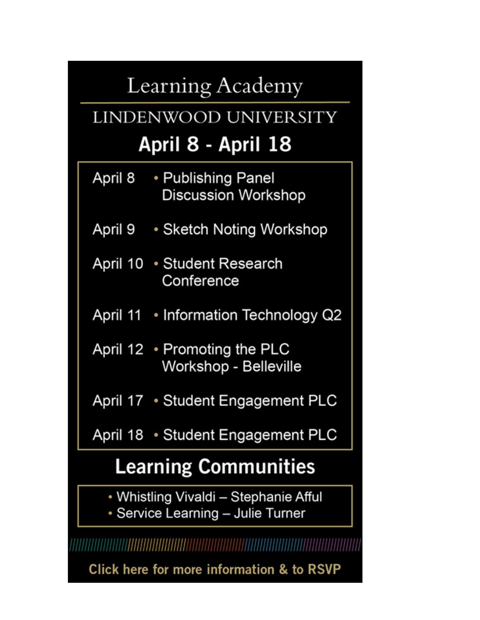# Learning Academy

# LINDENWOOD UNIVERSITY April 8 - April 18

- April 8 • Publishing Panel **Discussion Workshop**
- April 9 Sketch Noting Workshop
- April 10 Student Research Conference
- April 11 Information Technology Q2
- April 12 Promoting the PLC Workshop - Belleville

April 17 • Student Engagement PLC

April 18 • Student Engagement PLC

# **Learning Communities**

- Whistling Vivaldi Stephanie Afful
- Service Learning Julie Turner

Click here for more information & to RSVP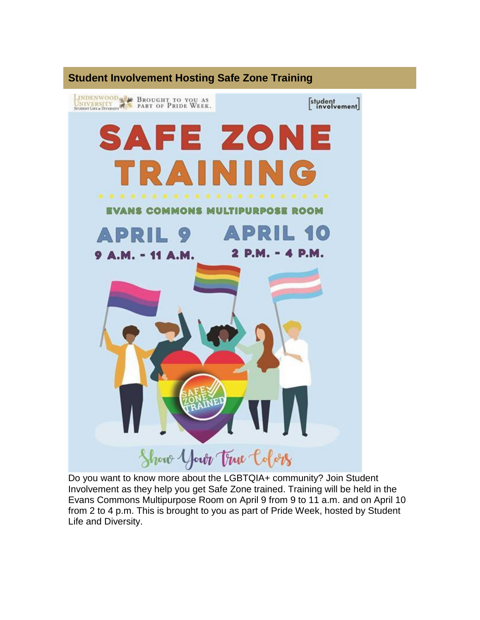

Do you want to know more about the LGBTQIA+ community? Join Student Involvement as they help you get Safe Zone trained. Training will be held in the Evans Commons Multipurpose Room on April 9 from 9 to 11 a.m. and on April 10 from 2 to 4 p.m. This is brought to you as part of Pride Week, hosted by Student Life and Diversity.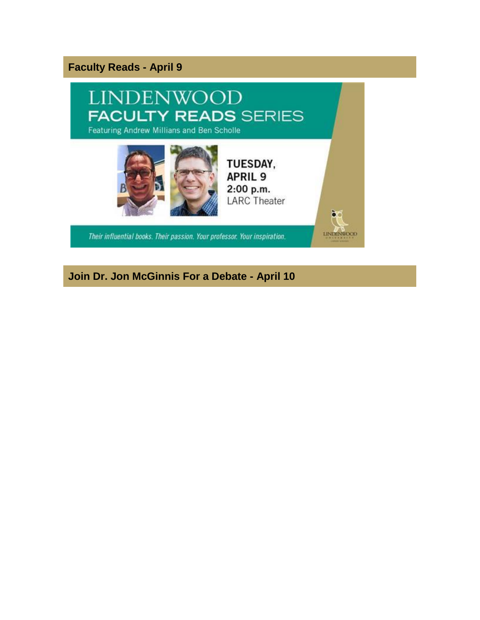#### **Faculty Reads - April 9**



**Join Dr. Jon McGinnis For a Debate - April 10**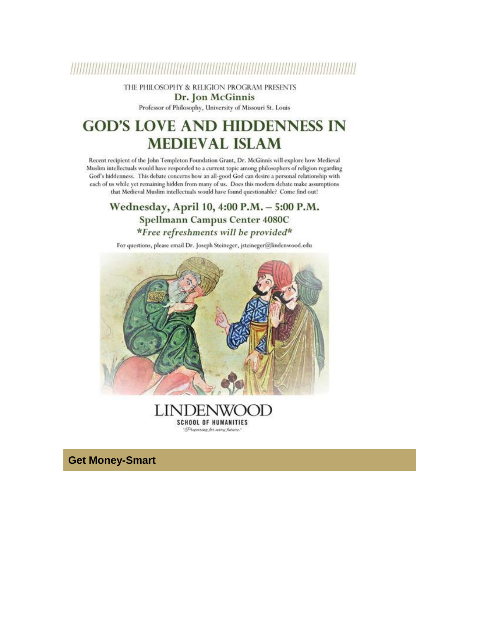### 

THE PHILOSOPHY & RELIGION PROGRAM PRESENTS Dr. Jon McGinnis

Professor of Philosophy, University of Missouri St. Louis

## **GOD'S LOVE AND HIDDENNESS IN MEDIEVAL ISLAM**

Recent recipient of the John Templeton Foundation Grant, Dr. McGinnis will explore how Medieval Muslim intellectuals would have responded to a current topic among philosophers of religion regarding God's hiddenness. This debate concerns how an all-good God can desire a personal relationship with each of us while yet remaining hidden from many of us. Does this modern debate make assumptions that Medieval Muslim intellectuals would have found questionable? Come find out!

#### Wednesday, April 10, 4:00 P.M. - 5:00 P.M. **Spellmann Campus Center 4080C** \*Free refreshments will be provided\*

For questions, please email Dr. Joseph Steineger, jsteineger@lindenwood.edu



LINDENV  $H$ **SCHOOL OF HUMANITIES** Dreparing for anny future."

**Get Money-Smart**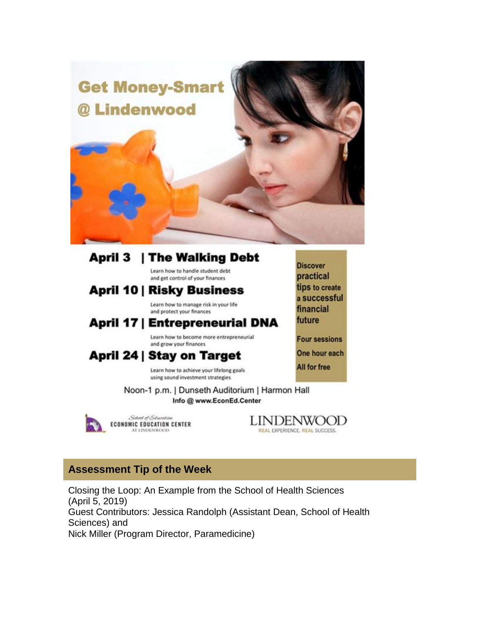

#### **April 3 | The Walking Debt** Learn how to handle student debt

and get control of your finances

### **April 10 | Risky Business**

Learn how to manage risk in your life and protect your finances

### **April 17 | Entrepreneurial DNA**

Learn how to become more entrepreneurial and grow your finances

### April 24 | Stay on Target

Learn how to achieve your lifelong goals using sound investment strategies

Noon-1 p.m. | Dunseth Auditorium | Harmon Hall Info @ www.EconEd.Center

School of Education **ECONOMIC EDUCATION CENTER** AT LINDENWOOD

**LINDENWOOD** REAL EXPERIENCE. REAL SUCCESS.

**Discover** 

practical

financial

future

tips to create

a successful

**Four sessions** 

One hour each

**All for free** 

#### **Assessment Tip of the Week**

Closing the Loop: An Example from the School of Health Sciences (April 5, 2019) Guest Contributors: Jessica Randolph (Assistant Dean, School of Health Sciences) and Nick Miller (Program Director, Paramedicine)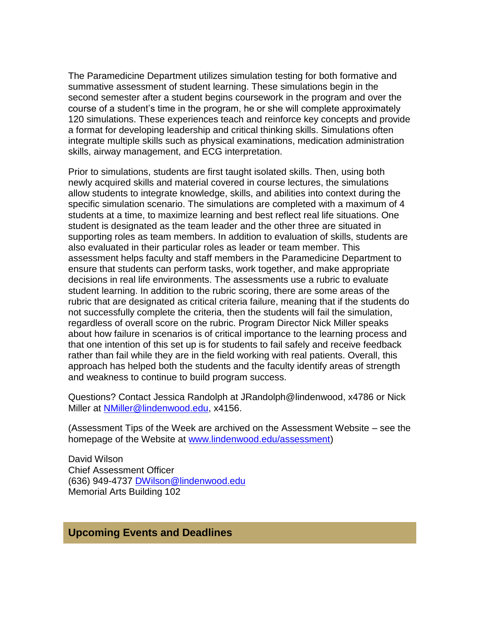The Paramedicine Department utilizes simulation testing for both formative and summative assessment of student learning. These simulations begin in the second semester after a student begins coursework in the program and over the course of a student's time in the program, he or she will complete approximately 120 simulations. These experiences teach and reinforce key concepts and provide a format for developing leadership and critical thinking skills. Simulations often integrate multiple skills such as physical examinations, medication administration skills, airway management, and ECG interpretation.

Prior to simulations, students are first taught isolated skills. Then, using both newly acquired skills and material covered in course lectures, the simulations allow students to integrate knowledge, skills, and abilities into context during the specific simulation scenario. The simulations are completed with a maximum of 4 students at a time, to maximize learning and best reflect real life situations. One student is designated as the team leader and the other three are situated in supporting roles as team members. In addition to evaluation of skills, students are also evaluated in their particular roles as leader or team member. This assessment helps faculty and staff members in the Paramedicine Department to ensure that students can perform tasks, work together, and make appropriate decisions in real life environments. The assessments use a rubric to evaluate student learning. In addition to the rubric scoring, there are some areas of the rubric that are designated as critical criteria failure, meaning that if the students do not successfully complete the criteria, then the students will fail the simulation, regardless of overall score on the rubric. Program Director Nick Miller speaks about how failure in scenarios is of critical importance to the learning process and that one intention of this set up is for students to fail safely and receive feedback rather than fail while they are in the field working with real patients. Overall, this approach has helped both the students and the faculty identify areas of strength and weakness to continue to build program success.

Questions? Contact Jessica Randolph at JRandolph@lindenwood, x4786 or Nick Miller at [NMiller@lindenwood.edu,](mailto:NMiller@lindenwood.edu) x4156.

(Assessment Tips of the Week are archived on the Assessment Website – see the homepage of the Website at [www.lindenwood.edu/assessment\)](http://www.lindenwood.edu/assessment)

David Wilson Chief Assessment Officer (636) 949-4737 [DWilson@lindenwood.edu](mailto:DWilson@lindenwood.edu) Memorial Arts Building 102

#### **Upcoming Events and Deadlines**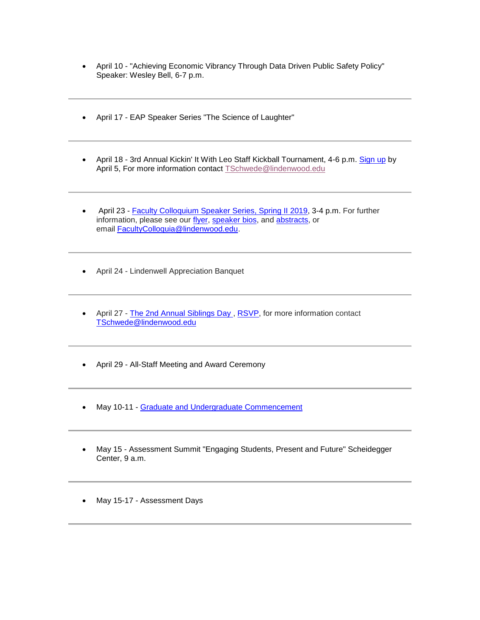- April 10 "Achieving Economic Vibrancy Through Data Driven Public Safety Policy" Speaker: Wesley Bell, 6-7 p.m.
- April 17 EAP Speaker Series "The Science of Laughter"
- April 18 3rd Annual Kickin' It With Leo Staff Kickball Tournament, 4-6 p.m. [Sign up](https://hes32-ctp.trendmicro.com/wis/clicktime/v1/query?url=https%3a%2f%2fcustapp.marketvolt.com%2flink%2fPCpFQF5CeI%3fCM%3d1312467241%26X%3d70525052&umid=481d7594-6898-4f4d-8251-80279179d622&auth=bc7ac43e330fa629f0cfb11786c85e83c10d06b8-9c1c407a5442b0224430e7cb0141c0141ffe7286) by April 5, For more information contact [TSchwede@lindenwood.edu](mailto:TSchwede@lindenwood.edu)
- April 23 [Faculty Colloquium Speaker Series, Spring II 2019,](https://hes32-ctp.trendmicro.com/wis/clicktime/v1/query?url=https%3a%2f%2fcustapp.marketvolt.com%2flink%2fDFR1es1Rt9%3fCM%3d1312467241%26X%3d70525052&umid=481d7594-6898-4f4d-8251-80279179d622&auth=bc7ac43e330fa629f0cfb11786c85e83c10d06b8-b38cb235a17d3634fb24635f37803e259986933d) 3-4 p.m. For further information, please see our [flyer,](https://hes32-ctp.trendmicro.com/wis/clicktime/v1/query?url=https%3a%2f%2fcustapp.marketvolt.com%2flink%2f27crzUgqRv%3fCM%3d1312467241%26X%3d70525052&umid=481d7594-6898-4f4d-8251-80279179d622&auth=bc7ac43e330fa629f0cfb11786c85e83c10d06b8-31c098d64d1606719d853d044f82a9f1834f6546) [speaker](https://hes32-ctp.trendmicro.com/wis/clicktime/v1/query?url=https%3a%2f%2fcustapp.marketvolt.com%2flink%2f4xPvg1Ulzp%3fCM%3d1312467241%26X%3d70525052&umid=481d7594-6898-4f4d-8251-80279179d622&auth=bc7ac43e330fa629f0cfb11786c85e83c10d06b8-4c89d99cf8deac0fcb9cfb80d17a4ad394c029f6) bios, and [abstracts,](https://hes32-ctp.trendmicro.com/wis/clicktime/v1/query?url=https%3a%2f%2fcustapp.marketvolt.com%2flink%2fEkeGcE6t4M%3fCM%3d1312467241%26X%3d70525052&umid=481d7594-6898-4f4d-8251-80279179d622&auth=bc7ac43e330fa629f0cfb11786c85e83c10d06b8-8f8ae71bb37a3320cc3a7eff8d100805c50b45ca) or email [FacultyColloquia@lindenwood.edu.](mailto:FacultyColloquia@lindenwood.edu)
- April 24 Lindenwell Appreciation Banquet
- April 27 [The 2nd Annual Siblings Day](https://hes32-ctp.trendmicro.com/wis/clicktime/v1/query?url=https%3a%2f%2fcustapp.marketvolt.com%2flink%2fxppH4il81k%3fCM%3d1312467241%26X%3d70525052&umid=481d7594-6898-4f4d-8251-80279179d622&auth=bc7ac43e330fa629f0cfb11786c85e83c10d06b8-b8c4b337600879ec732b7bba7255004d9dbcfa14), [RSVP,](https://hes32-ctp.trendmicro.com/wis/clicktime/v1/query?url=https%3a%2f%2fcustapp.marketvolt.com%2flink%2fgVlb2HUWAu%3fCM%3d1312467241%26X%3d70525052&umid=481d7594-6898-4f4d-8251-80279179d622&auth=bc7ac43e330fa629f0cfb11786c85e83c10d06b8-f487012908e50ba8f89c2f1761e2b4dde6b0d3bc) for more information contact [TSchwede@lindenwood.edu](mailto:TSchwede@lindenwood.edu)
- April 29 All-Staff Meeting and Award Ceremony
- May 10-11 [Graduate and Undergraduate Commencement](https://hes32-ctp.trendmicro.com/wis/clicktime/v1/query?url=https%3a%2f%2fcustapp.marketvolt.com%2flink%2fh7ZrQmFhCX%3fCM%3d1312467241%26X%3d70525052&umid=481d7594-6898-4f4d-8251-80279179d622&auth=bc7ac43e330fa629f0cfb11786c85e83c10d06b8-277015e12a1e60ffb76114fd5803650ee2c3651b)
- May 15 Assessment Summit "Engaging Students, Present and Future" Scheidegger Center, 9 a.m.
- May 15-17 Assessment Days